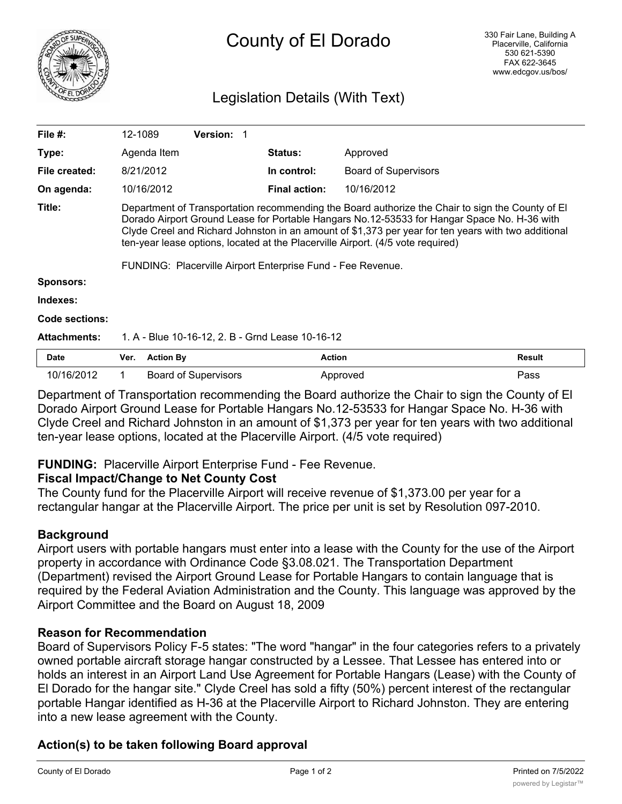

# Legislation Details (With Text)

| File $#$ :          | 12-1089                                                                                                                                                                                                                                                                                                                                                                                                                                                  |                  | <b>Version: 1</b>           |  |                      |                             |        |
|---------------------|----------------------------------------------------------------------------------------------------------------------------------------------------------------------------------------------------------------------------------------------------------------------------------------------------------------------------------------------------------------------------------------------------------------------------------------------------------|------------------|-----------------------------|--|----------------------|-----------------------------|--------|
| Type:               |                                                                                                                                                                                                                                                                                                                                                                                                                                                          | Agenda Item      |                             |  | <b>Status:</b>       | Approved                    |        |
| File created:       |                                                                                                                                                                                                                                                                                                                                                                                                                                                          | 8/21/2012        |                             |  | In control:          | <b>Board of Supervisors</b> |        |
| On agenda:          |                                                                                                                                                                                                                                                                                                                                                                                                                                                          | 10/16/2012       |                             |  | <b>Final action:</b> | 10/16/2012                  |        |
| Title:              | Department of Transportation recommending the Board authorize the Chair to sign the County of El<br>Dorado Airport Ground Lease for Portable Hangars No.12-53533 for Hangar Space No. H-36 with<br>Clyde Creel and Richard Johnston in an amount of \$1,373 per year for ten years with two additional<br>ten-year lease options, located at the Placerville Airport. (4/5 vote required)<br>FUNDING: Placerville Airport Enterprise Fund - Fee Revenue. |                  |                             |  |                      |                             |        |
| <b>Sponsors:</b>    |                                                                                                                                                                                                                                                                                                                                                                                                                                                          |                  |                             |  |                      |                             |        |
| Indexes:            |                                                                                                                                                                                                                                                                                                                                                                                                                                                          |                  |                             |  |                      |                             |        |
| Code sections:      |                                                                                                                                                                                                                                                                                                                                                                                                                                                          |                  |                             |  |                      |                             |        |
| <b>Attachments:</b> | 1. A - Blue 10-16-12, 2. B - Grnd Lease 10-16-12                                                                                                                                                                                                                                                                                                                                                                                                         |                  |                             |  |                      |                             |        |
| <b>Date</b>         | Ver.                                                                                                                                                                                                                                                                                                                                                                                                                                                     | <b>Action By</b> |                             |  | <b>Action</b>        |                             | Result |
| 10/16/2012          |                                                                                                                                                                                                                                                                                                                                                                                                                                                          |                  | <b>Board of Supervisors</b> |  |                      | Approved                    | Pass   |

Department of Transportation recommending the Board authorize the Chair to sign the County of El Dorado Airport Ground Lease for Portable Hangars No.12-53533 for Hangar Space No. H-36 with Clyde Creel and Richard Johnston in an amount of \$1,373 per year for ten years with two additional ten-year lease options, located at the Placerville Airport. (4/5 vote required)

#### **FUNDING:** Placerville Airport Enterprise Fund - Fee Revenue.

#### **Fiscal Impact/Change to Net County Cost**

The County fund for the Placerville Airport will receive revenue of \$1,373.00 per year for a rectangular hangar at the Placerville Airport. The price per unit is set by Resolution 097-2010.

#### **Background**

Airport users with portable hangars must enter into a lease with the County for the use of the Airport property in accordance with Ordinance Code §3.08.021. The Transportation Department (Department) revised the Airport Ground Lease for Portable Hangars to contain language that is required by the Federal Aviation Administration and the County. This language was approved by the Airport Committee and the Board on August 18, 2009

#### **Reason for Recommendation**

Board of Supervisors Policy F-5 states: "The word "hangar" in the four categories refers to a privately owned portable aircraft storage hangar constructed by a Lessee. That Lessee has entered into or holds an interest in an Airport Land Use Agreement for Portable Hangars (Lease) with the County of El Dorado for the hangar site." Clyde Creel has sold a fifty (50%) percent interest of the rectangular portable Hangar identified as H-36 at the Placerville Airport to Richard Johnston. They are entering into a new lease agreement with the County.

## **Action(s) to be taken following Board approval**